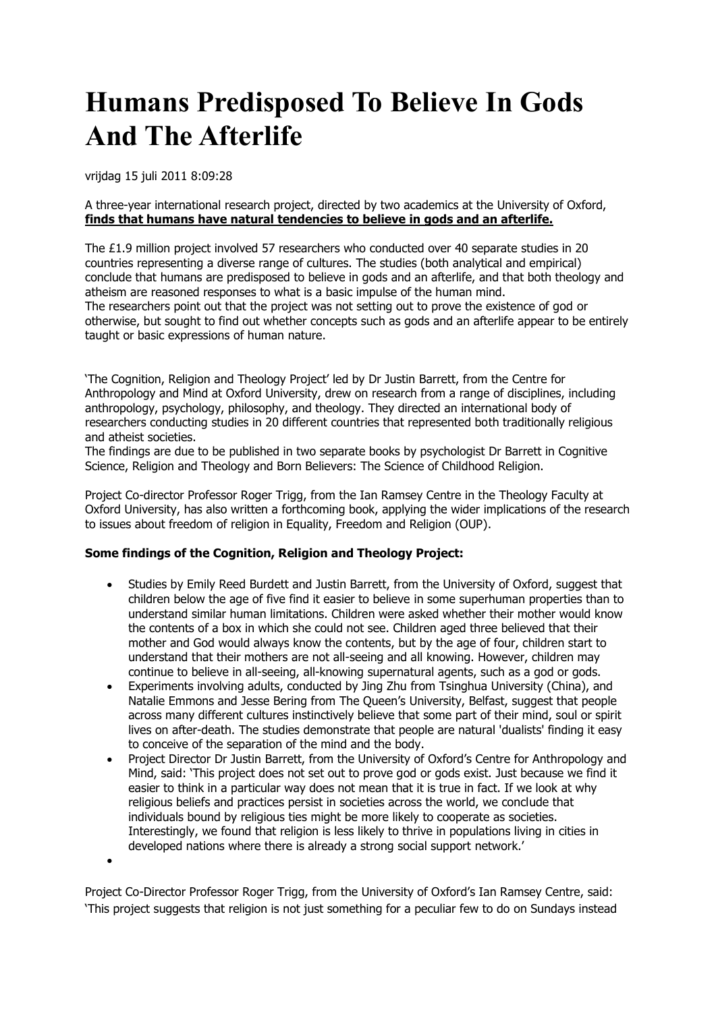## **Humans Predisposed To Believe In Gods And The Afterlife**

vrijdag 15 juli 2011 8:09:28

A three-year international research project, directed by two academics at the University of Oxford, **finds that humans have natural tendencies to believe in gods and an afterlife.**

The £1.9 million project involved 57 researchers who conducted over 40 separate studies in 20 countries representing a diverse range of cultures. The studies (both analytical and empirical) conclude that humans are predisposed to believe in gods and an afterlife, and that both theology and atheism are reasoned responses to what is a basic impulse of the human mind. The researchers point out that the project was not setting out to prove the existence of god or otherwise, but sought to find out whether concepts such as gods and an afterlife appear to be entirely taught or basic expressions of human nature.

'The Cognition, Religion and Theology Project' led by Dr Justin Barrett, from the Centre for Anthropology and Mind at Oxford University, drew on research from a range of disciplines, including anthropology, psychology, philosophy, and theology. They directed an international body of researchers conducting studies in 20 different countries that represented both traditionally religious and atheist societies.

The findings are due to be published in two separate books by psychologist Dr Barrett in Cognitive Science, Religion and Theology and Born Believers: The Science of Childhood Religion.

Project Co-director Professor Roger Trigg, from the Ian Ramsey Centre in the Theology Faculty at Oxford University, has also written a forthcoming book, applying the wider implications of the research to issues about freedom of religion in Equality, Freedom and Religion (OUP).

## **Some findings of the Cognition, Religion and Theology Project:**

- Studies by Emily Reed Burdett and Justin Barrett, from the University of Oxford, suggest that children below the age of five find it easier to believe in some superhuman properties than to understand similar human limitations. Children were asked whether their mother would know the contents of a box in which she could not see. Children aged three believed that their mother and God would always know the contents, but by the age of four, children start to understand that their mothers are not all-seeing and all knowing. However, children may continue to believe in all-seeing, all-knowing supernatural agents, such as a god or gods.
- Experiments involving adults, conducted by Jing Zhu from Tsinghua University (China), and Natalie Emmons and Jesse Bering from The Queen's University, Belfast, suggest that people across many different cultures instinctively believe that some part of their mind, soul or spirit lives on after-death. The studies demonstrate that people are natural 'dualists' finding it easy to conceive of the separation of the mind and the body.
- Project Director Dr Justin Barrett, from the University of Oxford's Centre for Anthropology and Mind, said: 'This project does not set out to prove god or gods exist. Just because we find it easier to think in a particular way does not mean that it is true in fact. If we look at why religious beliefs and practices persist in societies across the world, we conclude that individuals bound by religious ties might be more likely to cooperate as societies. Interestingly, we found that religion is less likely to thrive in populations living in cities in developed nations where there is already a strong social support network.'

 $\bullet$ 

Project Co-Director Professor Roger Trigg, from the University of Oxford's Ian Ramsey Centre, said: 'This project suggests that religion is not just something for a peculiar few to do on Sundays instead